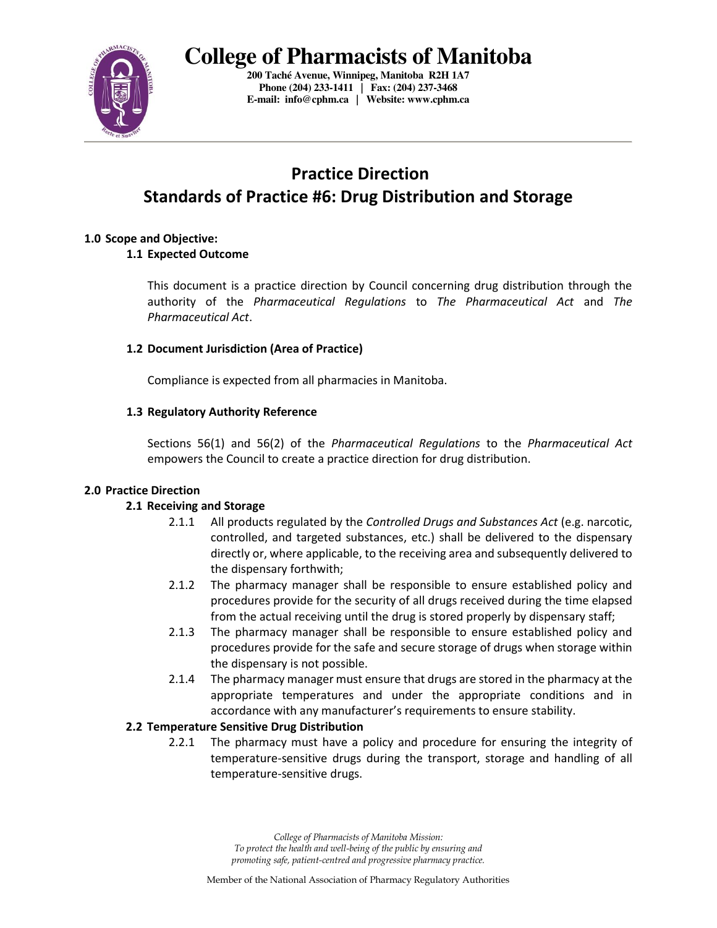

**200 Taché Avenue, Winnipeg, Manitoba R2H 1A7 Phone (204) 233-1411 | Fax: (204) 237-3468 E-mail: info@cphm.ca | Website: www.cphm.ca** 

## **Practice Direction Standards of Practice #6: Drug Distribution and Storage**

#### **1.0 Scope and Objective:**

## **1.1 Expected Outcome**

This document is a practice direction by Council concerning drug distribution through the authority of the *Pharmaceutical Regulations* to *The Pharmaceutical Act* and *The Pharmaceutical Act*.

#### **1.2 Document Jurisdiction (Area of Practice)**

Compliance is expected from all pharmacies in Manitoba.

#### **1.3 Regulatory Authority Reference**

Sections 56(1) and 56(2) of the *Pharmaceutical Regulations* to the *Pharmaceutical Act* empowers the Council to create a practice direction for drug distribution.

#### **2.0 Practice Direction**

## **2.1 Receiving and Storage**

- 2.1.1 All products regulated by the *Controlled Drugs and Substances Act* (e.g. narcotic, controlled, and targeted substances, etc.) shall be delivered to the dispensary directly or, where applicable, to the receiving area and subsequently delivered to the dispensary forthwith;
- 2.1.2 The pharmacy manager shall be responsible to ensure established policy and procedures provide for the security of all drugs received during the time elapsed from the actual receiving until the drug is stored properly by dispensary staff;
- 2.1.3 The pharmacy manager shall be responsible to ensure established policy and procedures provide for the safe and secure storage of drugs when storage within the dispensary is not possible.
- 2.1.4 The pharmacy manager must ensure that drugs are stored in the pharmacy at the appropriate temperatures and under the appropriate conditions and in accordance with any manufacturer's requirements to ensure stability.

#### **2.2 Temperature Sensitive Drug Distribution**

2.2.1 The pharmacy must have a policy and procedure for ensuring the integrity of temperature-sensitive drugs during the transport, storage and handling of all temperature-sensitive drugs.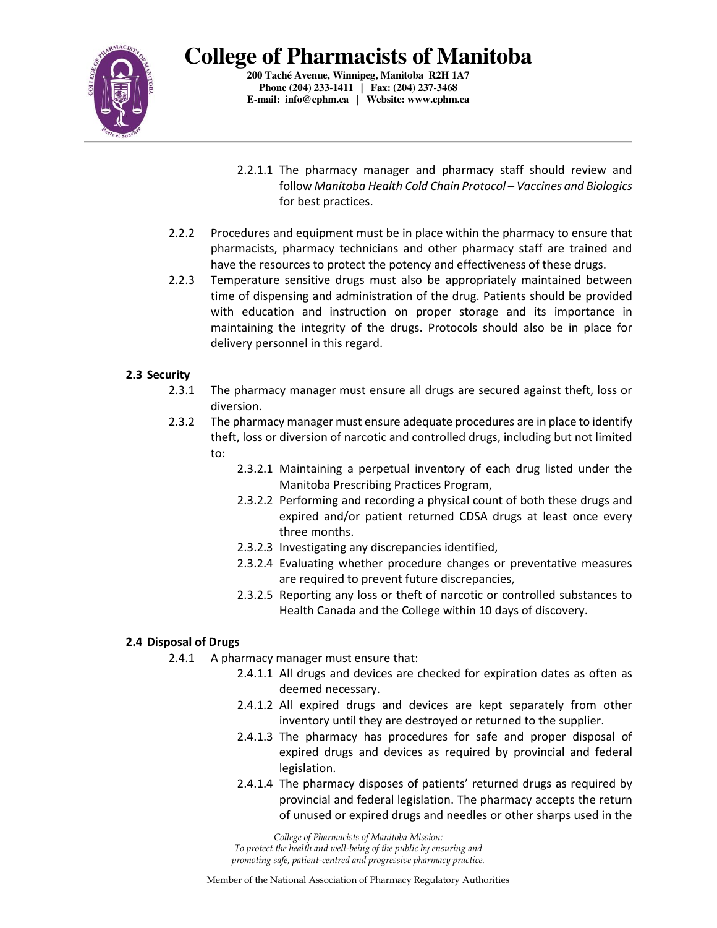

**200 Taché Avenue, Winnipeg, Manitoba R2H 1A7 Phone (204) 233-1411 | Fax: (204) 237-3468 E-mail: info@cphm.ca | Website: www.cphm.ca** 

- 2.2.1.1 The pharmacy manager and pharmacy staff should review and follow *Manitoba Health Cold Chain Protocol – Vaccines and Biologics* for best practices.
- 2.2.2 Procedures and equipment must be in place within the pharmacy to ensure that pharmacists, pharmacy technicians and other pharmacy staff are trained and have the resources to protect the potency and effectiveness of these drugs.
- 2.2.3 Temperature sensitive drugs must also be appropriately maintained between time of dispensing and administration of the drug. Patients should be provided with education and instruction on proper storage and its importance in maintaining the integrity of the drugs. Protocols should also be in place for delivery personnel in this regard.

#### **2.3 Security**

- 2.3.1 The pharmacy manager must ensure all drugs are secured against theft, loss or diversion.
- 2.3.2 The pharmacy manager must ensure adequate procedures are in place to identify theft, loss or diversion of narcotic and controlled drugs, including but not limited to:
	- 2.3.2.1 Maintaining a perpetual inventory of each drug listed under the Manitoba Prescribing Practices Program,
	- 2.3.2.2 Performing and recording a physical count of both these drugs and expired and/or patient returned CDSA drugs at least once every three months.
	- 2.3.2.3 Investigating any discrepancies identified,
	- 2.3.2.4 Evaluating whether procedure changes or preventative measures are required to prevent future discrepancies,
	- 2.3.2.5 Reporting any loss or theft of narcotic or controlled substances to Health Canada and the College within 10 days of discovery.

## **2.4 Disposal of Drugs**

- 2.4.1 A pharmacy manager must ensure that:
	- 2.4.1.1 All drugs and devices are checked for expiration dates as often as deemed necessary.
	- 2.4.1.2 All expired drugs and devices are kept separately from other inventory until they are destroyed or returned to the supplier.
	- 2.4.1.3 The pharmacy has procedures for safe and proper disposal of expired drugs and devices as required by provincial and federal legislation.
	- 2.4.1.4 The pharmacy disposes of patients' returned drugs as required by provincial and federal legislation. The pharmacy accepts the return of unused or expired drugs and needles or other sharps used in the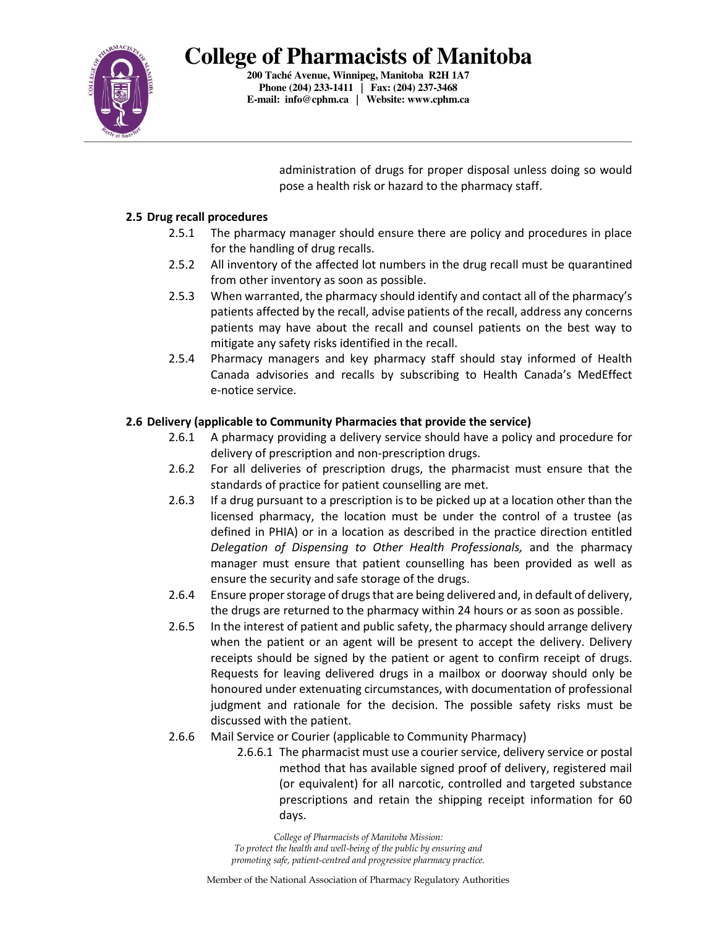

**200 Taché Avenue, Winnipeg, Manitoba R2H 1A7 Phone (204) 233-1411 | Fax: (204) 237-3468 E-mail: info@cphm.ca | Website: www.cphm.ca** 

> administration of drugs for proper disposal unless doing so would pose a health risk or hazard to the pharmacy staff.

#### **2.5 Drug recall procedures**

- 2.5.1 The pharmacy manager should ensure there are policy and procedures in place for the handling of drug recalls.
- 2.5.2 All inventory of the affected lot numbers in the drug recall must be quarantined from other inventory as soon as possible.
- 2.5.3 When warranted, the pharmacy should identify and contact all of the pharmacy's patients affected by the recall, advise patients of the recall, address any concerns patients may have about the recall and counsel patients on the best way to mitigate any safety risks identified in the recall.
- 2.5.4 Pharmacy managers and key pharmacy staff should stay informed of Health Canada advisories and recalls by subscribing to Health Canada's MedEffect e-notice service.

## **2.6 Delivery (applicable to Community Pharmacies that provide the service)**

- 2.6.1 A pharmacy providing a delivery service should have a policy and procedure for delivery of prescription and non-prescription drugs.
- 2.6.2 For all deliveries of prescription drugs, the pharmacist must ensure that the standards of practice for patient counselling are met.
- 2.6.3 If a drug pursuant to a prescription is to be picked up at a location other than the licensed pharmacy, the location must be under the control of a trustee (as defined in PHIA) or in a location as described in the practice direction entitled *Delegation of Dispensing to Other Health Professionals,* and the pharmacy manager must ensure that patient counselling has been provided as well as ensure the security and safe storage of the drugs.
- 2.6.4 Ensure proper storage of drugs that are being delivered and, in default of delivery, the drugs are returned to the pharmacy within 24 hours or as soon as possible.
- 2.6.5 In the interest of patient and public safety, the pharmacy should arrange delivery when the patient or an agent will be present to accept the delivery. Delivery receipts should be signed by the patient or agent to confirm receipt of drugs. Requests for leaving delivered drugs in a mailbox or doorway should only be honoured under extenuating circumstances, with documentation of professional judgment and rationale for the decision. The possible safety risks must be discussed with the patient.
- 2.6.6 Mail Service or Courier (applicable to Community Pharmacy)
	- 2.6.6.1 The pharmacist must use a courier service, delivery service or postal method that has available signed proof of delivery, registered mail (or equivalent) for all narcotic, controlled and targeted substance prescriptions and retain the shipping receipt information for 60 days.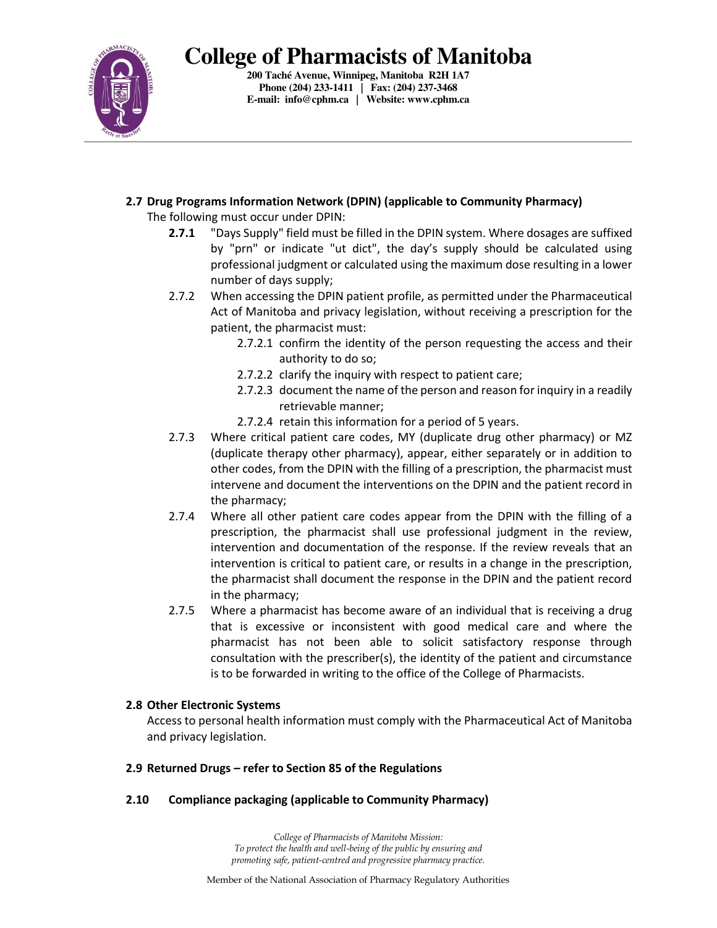

**200 Taché Avenue, Winnipeg, Manitoba R2H 1A7 Phone (204) 233-1411 | Fax: (204) 237-3468 E-mail: info@cphm.ca | Website: www.cphm.ca** 

**2.7 Drug Programs Information Network (DPIN) (applicable to Community Pharmacy)** 

The following must occur under DPIN:

- **2.7.1** "Days Supply" field must be filled in the DPIN system. Where dosages are suffixed by "prn" or indicate "ut dict", the day's supply should be calculated using professional judgment or calculated using the maximum dose resulting in a lower number of days supply;
- 2.7.2 When accessing the DPIN patient profile, as permitted under the Pharmaceutical Act of Manitoba and privacy legislation, without receiving a prescription for the patient, the pharmacist must:
	- 2.7.2.1 confirm the identity of the person requesting the access and their authority to do so;
	- 2.7.2.2 clarify the inquiry with respect to patient care;
	- 2.7.2.3 document the name of the person and reason for inquiry in a readily retrievable manner;
	- 2.7.2.4 retain this information for a period of 5 years.
- 2.7.3 Where critical patient care codes, MY (duplicate drug other pharmacy) or MZ (duplicate therapy other pharmacy), appear, either separately or in addition to other codes, from the DPIN with the filling of a prescription, the pharmacist must intervene and document the interventions on the DPIN and the patient record in the pharmacy;
- 2.7.4 Where all other patient care codes appear from the DPIN with the filling of a prescription, the pharmacist shall use professional judgment in the review, intervention and documentation of the response. If the review reveals that an intervention is critical to patient care, or results in a change in the prescription, the pharmacist shall document the response in the DPIN and the patient record in the pharmacy;
- 2.7.5 Where a pharmacist has become aware of an individual that is receiving a drug that is excessive or inconsistent with good medical care and where the pharmacist has not been able to solicit satisfactory response through consultation with the prescriber(s), the identity of the patient and circumstance is to be forwarded in writing to the office of the College of Pharmacists.

## **2.8 Other Electronic Systems**

Access to personal health information must comply with the Pharmaceutical Act of Manitoba and privacy legislation.

#### **2.9 Returned Drugs – refer to Section 85 of the Regulations**

## **2.10 Compliance packaging (applicable to Community Pharmacy)**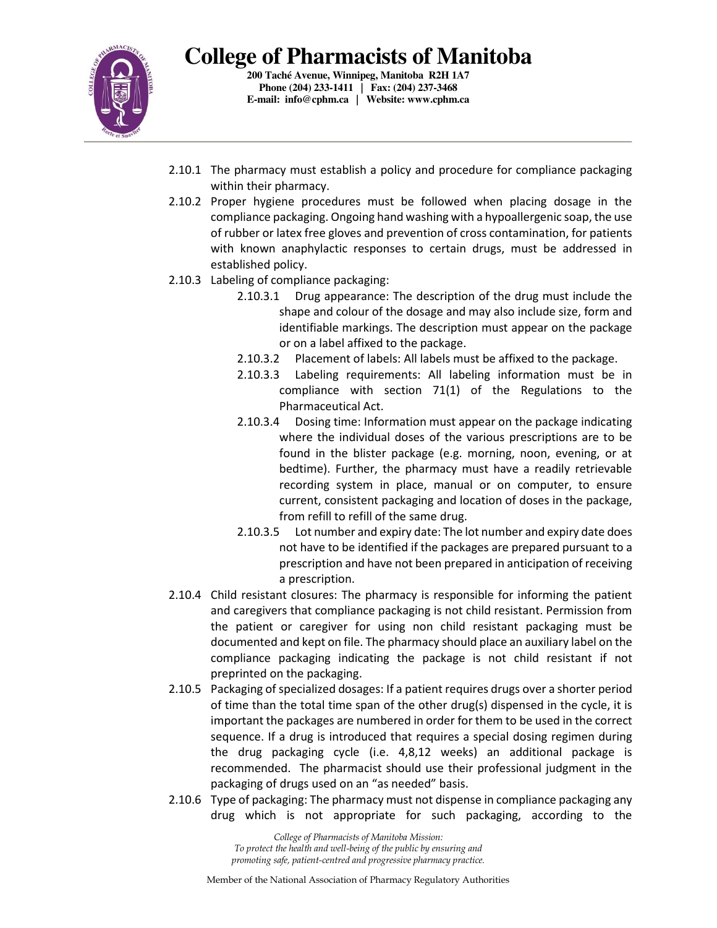

**200 Taché Avenue, Winnipeg, Manitoba R2H 1A7 Phone (204) 233-1411 | Fax: (204) 237-3468 E-mail: info@cphm.ca | Website: www.cphm.ca** 

- 2.10.1 The pharmacy must establish a policy and procedure for compliance packaging within their pharmacy.
- 2.10.2 Proper hygiene procedures must be followed when placing dosage in the compliance packaging. Ongoing hand washing with a hypoallergenic soap, the use of rubber or latex free gloves and prevention of cross contamination, for patients with known anaphylactic responses to certain drugs, must be addressed in established policy.
- 2.10.3 Labeling of compliance packaging:
	- 2.10.3.1 Drug appearance: The description of the drug must include the shape and colour of the dosage and may also include size, form and identifiable markings. The description must appear on the package or on a label affixed to the package.
	- 2.10.3.2 Placement of labels: All labels must be affixed to the package.
	- 2.10.3.3 Labeling requirements: All labeling information must be in compliance with section 71(1) of the Regulations to the Pharmaceutical Act.
	- 2.10.3.4 Dosing time: Information must appear on the package indicating where the individual doses of the various prescriptions are to be found in the blister package (e.g. morning, noon, evening, or at bedtime). Further, the pharmacy must have a readily retrievable recording system in place, manual or on computer, to ensure current, consistent packaging and location of doses in the package, from refill to refill of the same drug.
	- 2.10.3.5 Lot number and expiry date: The lot number and expiry date does not have to be identified if the packages are prepared pursuant to a prescription and have not been prepared in anticipation of receiving a prescription.
- 2.10.4 Child resistant closures: The pharmacy is responsible for informing the patient and caregivers that compliance packaging is not child resistant. Permission from the patient or caregiver for using non child resistant packaging must be documented and kept on file. The pharmacy should place an auxiliary label on the compliance packaging indicating the package is not child resistant if not preprinted on the packaging.
- 2.10.5 Packaging of specialized dosages: If a patient requires drugs over a shorter period of time than the total time span of the other drug(s) dispensed in the cycle, it is important the packages are numbered in order for them to be used in the correct sequence. If a drug is introduced that requires a special dosing regimen during the drug packaging cycle (i.e. 4,8,12 weeks) an additional package is recommended. The pharmacist should use their professional judgment in the packaging of drugs used on an "as needed" basis.
- 2.10.6 Type of packaging: The pharmacy must not dispense in compliance packaging any drug which is not appropriate for such packaging, according to the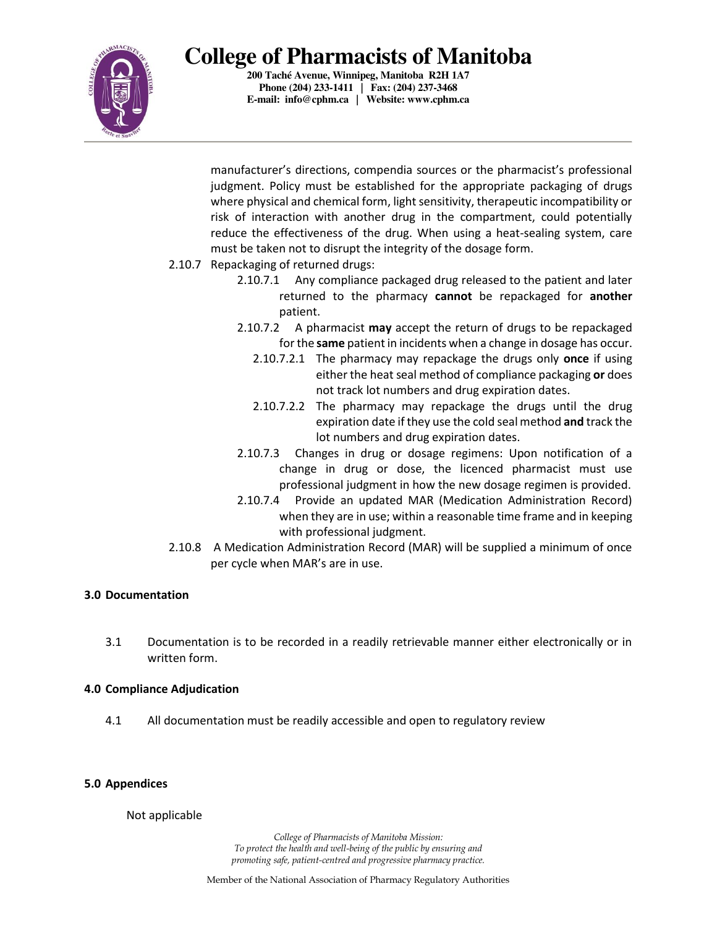

**200 Taché Avenue, Winnipeg, Manitoba R2H 1A7 Phone (204) 233-1411 | Fax: (204) 237-3468 E-mail: info@cphm.ca | Website: www.cphm.ca** 

manufacturer's directions, compendia sources or the pharmacist's professional judgment. Policy must be established for the appropriate packaging of drugs where physical and chemical form, light sensitivity, therapeutic incompatibility or risk of interaction with another drug in the compartment, could potentially reduce the effectiveness of the drug. When using a heat-sealing system, care must be taken not to disrupt the integrity of the dosage form.

- 2.10.7 Repackaging of returned drugs:
	- 2.10.7.1 Any compliance packaged drug released to the patient and later returned to the pharmacy **cannot** be repackaged for **another** patient.
	- 2.10.7.2 A pharmacist **may** accept the return of drugs to be repackaged for the **same** patient in incidents when a change in dosage has occur.
		- 2.10.7.2.1 The pharmacy may repackage the drugs only **once** if using either the heat seal method of compliance packaging **or** does not track lot numbers and drug expiration dates.
		- 2.10.7.2.2 The pharmacy may repackage the drugs until the drug expiration date if they use the cold seal method **and** track the lot numbers and drug expiration dates.
	- 2.10.7.3 Changes in drug or dosage regimens: Upon notification of a change in drug or dose, the licenced pharmacist must use professional judgment in how the new dosage regimen is provided.
	- 2.10.7.4 Provide an updated MAR (Medication Administration Record) when they are in use; within a reasonable time frame and in keeping with professional judgment.
- 2.10.8 A Medication Administration Record (MAR) will be supplied a minimum of once per cycle when MAR's are in use.

#### **3.0 Documentation**

3.1 Documentation is to be recorded in a readily retrievable manner either electronically or in written form.

#### **4.0 Compliance Adjudication**

4.1 All documentation must be readily accessible and open to regulatory review

#### **5.0 Appendices**

Not applicable